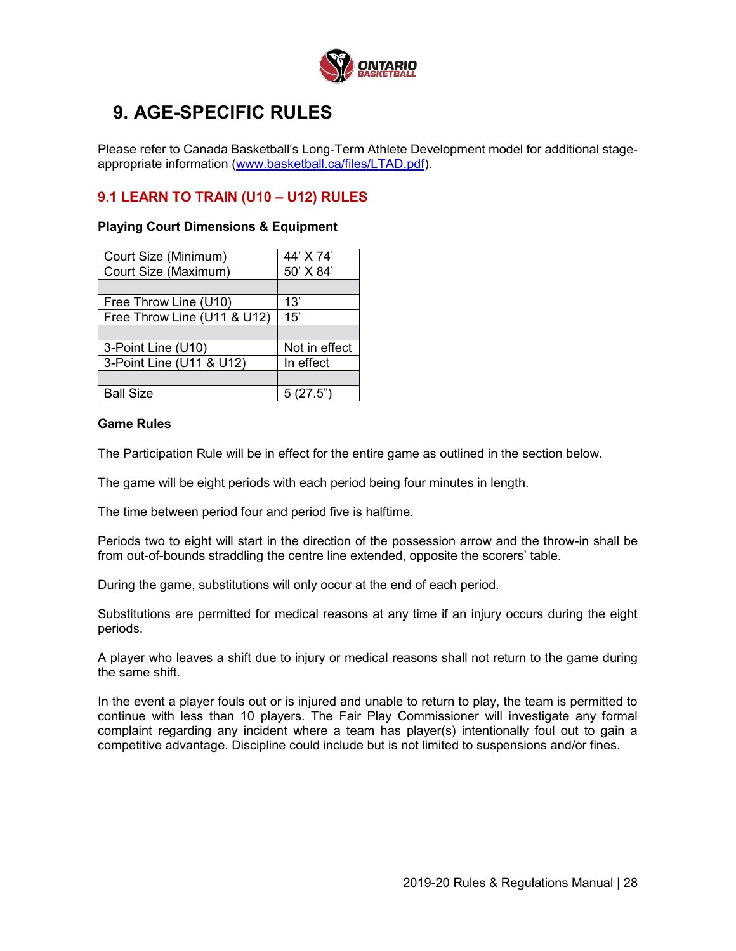

# **9. AGE-SPECIFIC RULES**

Please refer to Canada Basketball's Long-Term Athlete Development model for additional stageappropriate information (www.basketball.ca/files/LTAD.pdf).

## **9.1 LEARN TO TRAIN (U10 – U12) RULES**

# **Playing Court Dimensions & Equipment**

| Court Size (Minimum)        | 44' X 74'     |  |  |
|-----------------------------|---------------|--|--|
| Court Size (Maximum)        | 50' X 84'     |  |  |
|                             |               |  |  |
| Free Throw Line (U10)       | 13'           |  |  |
| Free Throw Line (U11 & U12) | 15'           |  |  |
|                             |               |  |  |
|                             |               |  |  |
| 3-Point Line (U10)          | Not in effect |  |  |
| 3-Point Line (U11 & U12)    | In effect     |  |  |
|                             |               |  |  |
| <b>Ball Size</b>            | 5(27.5")      |  |  |

#### **Game Rules**

The Participation Rule will be in effect for the entire game as outlined in the section below.

The game will be eight periods with each period being four minutes in length.

The time between period four and period five is halftime.

Periods two to eight will start in the direction of the possession arrow and the throw-in shall be from out-of-bounds straddling the centre line extended, opposite the scorers' table.

During the game, substitutions will only occur at the end of each period.

Substitutions are permitted for medical reasons at any time if an injury occurs during the eight periods.

A player who leaves a shift due to injury or medical reasons shall not return to the game during the same shift.

In the event a player fouls out or is injured and unable to return to play, the team is permitted to continue with less than 10 players. The Fair Play Commissioner will investigate any formal complaint regarding any incident where a team has player(s) intentionally foul out to gain a competitive advantage. Discipline could include but is not limited to suspensions and/or fines.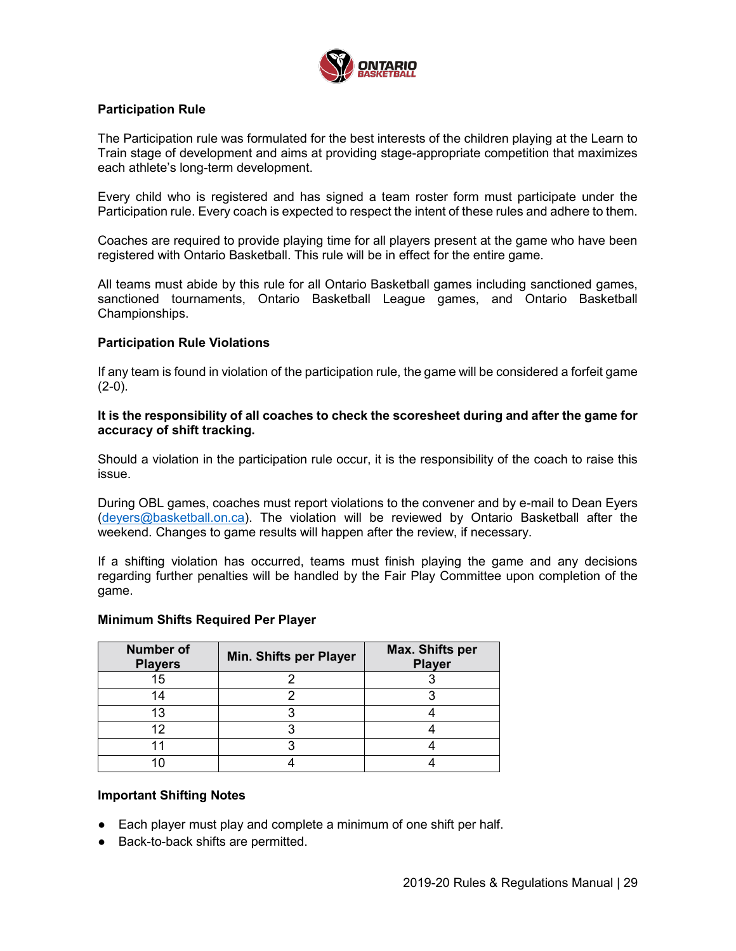

### **Participation Rule**

The Participation rule was formulated for the best interests of the children playing at the Learn to Train stage of development and aims at providing stage-appropriate competition that maximizes each athlete's long-term development.

Every child who is registered and has signed a team roster form must participate under the Participation rule. Every coach is expected to respect the intent of these rules and adhere to them.

Coaches are required to provide playing time for all players present at the game who have been registered with Ontario Basketball. This rule will be in effect for the entire game.

All teams must abide by this rule for all Ontario Basketball games including sanctioned games, sanctioned tournaments, Ontario Basketball League games, and Ontario Basketball Championships.

#### **Participation Rule Violations**

If any team is found in violation of the participation rule, the game will be considered a forfeit game  $(2-0)$ .

#### **It is the responsibility of all coaches to check the scoresheet during and after the game for accuracy of shift tracking.**

Should a violation in the participation rule occur, it is the responsibility of the coach to raise this issue.

During OBL games, coaches must report violations to the convener and by e-mail to Dean Eyers (deyers@basketball.on.ca). The violation will be reviewed by Ontario Basketball after the weekend. Changes to game results will happen after the review, if necessary.

If a shifting violation has occurred, teams must finish playing the game and any decisions regarding further penalties will be handled by the Fair Play Committee upon completion of the game.

#### **Minimum Shifts Required Per Player**

| <b>Number of</b><br><b>Players</b> | <b>Min. Shifts per Player</b> | Max. Shifts per<br><b>Player</b> |  |  |
|------------------------------------|-------------------------------|----------------------------------|--|--|
| 15                                 |                               |                                  |  |  |
|                                    |                               |                                  |  |  |
|                                    |                               |                                  |  |  |
| ר ו                                |                               |                                  |  |  |
|                                    |                               |                                  |  |  |
|                                    |                               |                                  |  |  |

#### **Important Shifting Notes**

- Each player must play and complete a minimum of one shift per half.
- Back-to-back shifts are permitted.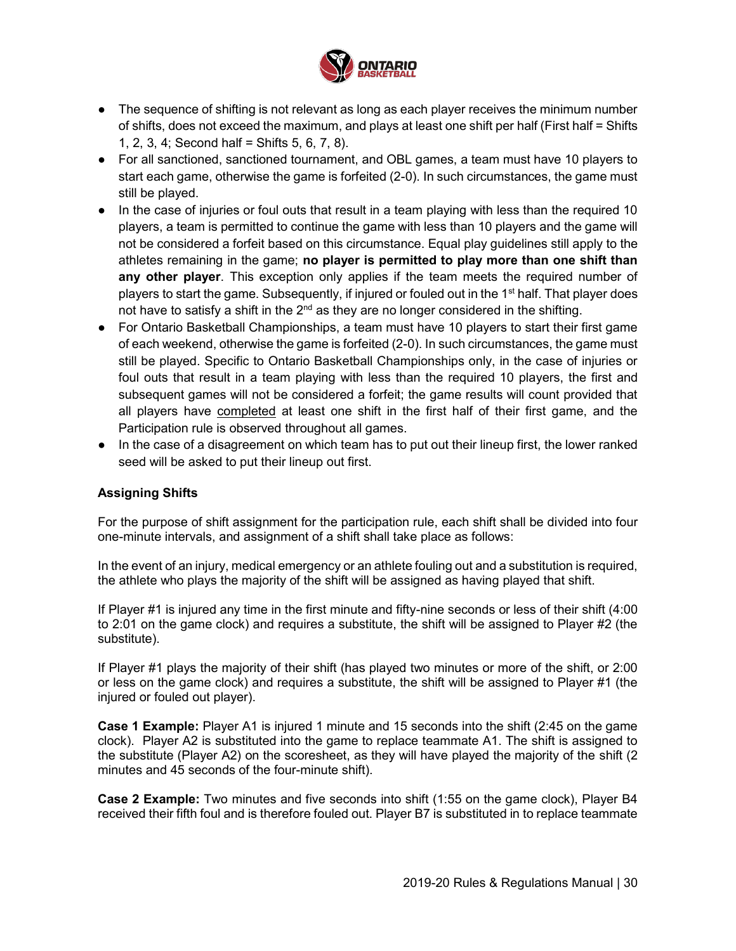

- The sequence of shifting is not relevant as long as each player receives the minimum number of shifts, does not exceed the maximum, and plays at least one shift per half (First half = Shifts 1, 2, 3, 4; Second half = Shifts 5, 6, 7, 8).
- For all sanctioned, sanctioned tournament, and OBL games, a team must have 10 players to start each game, otherwise the game is forfeited (2-0). In such circumstances, the game must still be played.
- In the case of injuries or foul outs that result in a team playing with less than the required 10 players, a team is permitted to continue the game with less than 10 players and the game will not be considered a forfeit based on this circumstance. Equal play guidelines still apply to the athletes remaining in the game; **no player is permitted to play more than one shift than any other player**. This exception only applies if the team meets the required number of players to start the game. Subsequently, if injured or fouled out in the 1st half. That player does not have to satisfy a shift in the  $2<sup>nd</sup>$  as they are no longer considered in the shifting.
- For Ontario Basketball Championships, a team must have 10 players to start their first game of each weekend, otherwise the game is forfeited (2-0). In such circumstances, the game must still be played. Specific to Ontario Basketball Championships only, in the case of injuries or foul outs that result in a team playing with less than the required 10 players, the first and subsequent games will not be considered a forfeit; the game results will count provided that all players have completed at least one shift in the first half of their first game, and the Participation rule is observed throughout all games.
- In the case of a disagreement on which team has to put out their lineup first, the lower ranked seed will be asked to put their lineup out first.

## **Assigning Shifts**

For the purpose of shift assignment for the participation rule, each shift shall be divided into four one-minute intervals, and assignment of a shift shall take place as follows:

In the event of an injury, medical emergency or an athlete fouling out and a substitution is required, the athlete who plays the majority of the shift will be assigned as having played that shift.

If Player #1 is injured any time in the first minute and fifty-nine seconds or less of their shift (4:00 to 2:01 on the game clock) and requires a substitute, the shift will be assigned to Player #2 (the substitute).

If Player #1 plays the majority of their shift (has played two minutes or more of the shift, or 2:00 or less on the game clock) and requires a substitute, the shift will be assigned to Player #1 (the injured or fouled out player).

**Case 1 Example:** Player A1 is injured 1 minute and 15 seconds into the shift (2:45 on the game clock). Player A2 is substituted into the game to replace teammate A1. The shift is assigned to the substitute (Player A2) on the scoresheet, as they will have played the majority of the shift (2 minutes and 45 seconds of the four-minute shift).

**Case 2 Example:** Two minutes and five seconds into shift (1:55 on the game clock), Player B4 received their fifth foul and is therefore fouled out. Player B7 is substituted in to replace teammate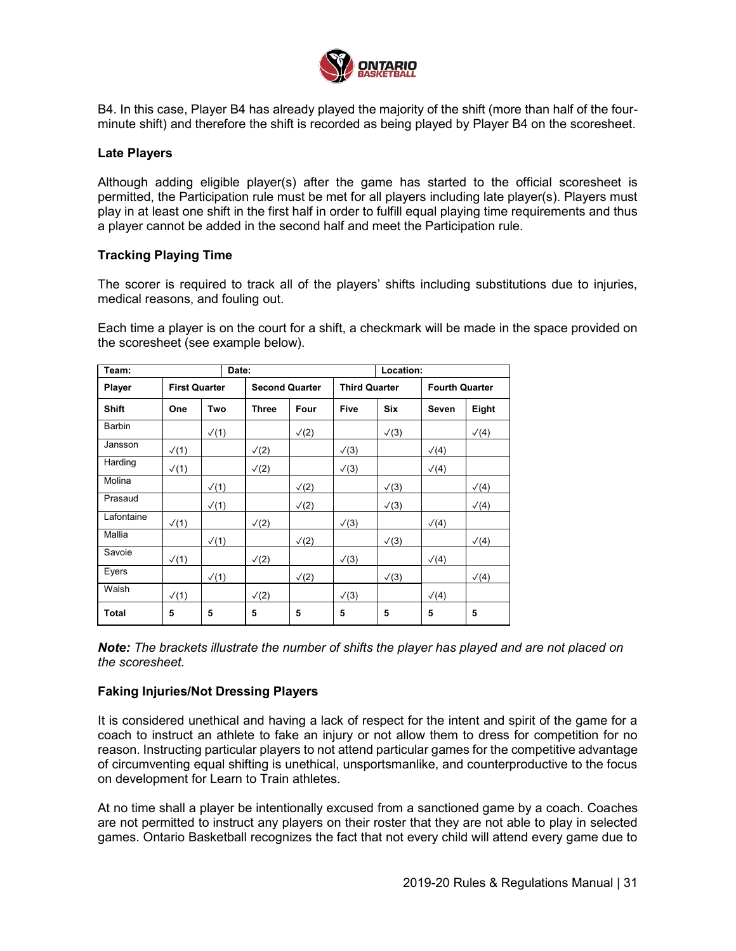

B4. In this case, Player B4 has already played the majority of the shift (more than half of the fourminute shift) and therefore the shift is recorded as being played by Player B4 on the scoresheet.

#### **Late Players**

Although adding eligible player(s) after the game has started to the official scoresheet is permitted, the Participation rule must be met for all players including late player(s). Players must play in at least one shift in the first half in order to fulfill equal playing time requirements and thus a player cannot be added in the second half and meet the Participation rule.

#### **Tracking Playing Time**

The scorer is required to track all of the players' shifts including substitutions due to injuries, medical reasons, and fouling out.

Each time a player is on the court for a shift, a checkmark will be made in the space provided on the scoresheet (see example below).

| Date:<br>Team: |                      |              |                       | Location:  |                      |            |                       |              |
|----------------|----------------------|--------------|-----------------------|------------|----------------------|------------|-----------------------|--------------|
| Player         | <b>First Quarter</b> |              | <b>Second Quarter</b> |            | <b>Third Quarter</b> |            | <b>Fourth Quarter</b> |              |
| <b>Shift</b>   | One                  | Two          | <b>Three</b>          | Four       | <b>Five</b>          | <b>Six</b> | Seven                 | Eight        |
| <b>Barbin</b>  |                      | $\sqrt{(1)}$ |                       | $\sqrt{2}$ |                      | $\sqrt{3}$ |                       | $\sqrt(4)$   |
| Jansson        | $\sqrt{(1)}$         |              | $\sqrt{2}$            |            | $\sqrt{3}$           |            | $\sqrt{(4)}$          |              |
| Harding        | $\sqrt{(1)}$         |              | $\sqrt{2}$            |            | $\sqrt{3}$           |            | $\sqrt(4)$            |              |
| Molina         |                      | $\sqrt{(1)}$ |                       | $\sqrt{2}$ |                      | $\sqrt{3}$ |                       | $\sqrt(4)$   |
| Prasaud        |                      | $\sqrt{(1)}$ |                       | $\sqrt{2}$ |                      | $\sqrt{3}$ |                       | $\sqrt(4)$   |
| Lafontaine     | $\sqrt{(1)}$         |              | $\sqrt{2}$            |            | $\sqrt{3}$           |            | $\sqrt(4)$            |              |
| Mallia         |                      | $\sqrt{(1)}$ |                       | $\sqrt{2}$ |                      | $\sqrt{3}$ |                       | $\sqrt{(4)}$ |
| Savoie         | $\sqrt{(1)}$         |              | $\sqrt{2}$            |            | $\sqrt{3}$           |            | $\sqrt{(4)}$          |              |
| Eyers          |                      | $\sqrt{(1)}$ |                       | $\sqrt{2}$ |                      | $\sqrt{3}$ |                       | $\sqrt(4)$   |
| Walsh          | $\sqrt{(1)}$         |              | $\sqrt{2}$            |            | $\sqrt{3}$           |            | $\sqrt{(4)}$          |              |
| <b>Total</b>   | 5                    | 5            | 5                     | 5          | 5                    | 5          | 5                     | 5            |

*Note: The brackets illustrate the number of shifts the player has played and are not placed on the scoresheet.*

#### **Faking Injuries/Not Dressing Players**

It is considered unethical and having a lack of respect for the intent and spirit of the game for a coach to instruct an athlete to fake an injury or not allow them to dress for competition for no reason. Instructing particular players to not attend particular games for the competitive advantage of circumventing equal shifting is unethical, unsportsmanlike, and counterproductive to the focus on development for Learn to Train athletes.

At no time shall a player be intentionally excused from a sanctioned game by a coach. Coaches are not permitted to instruct any players on their roster that they are not able to play in selected games. Ontario Basketball recognizes the fact that not every child will attend every game due to